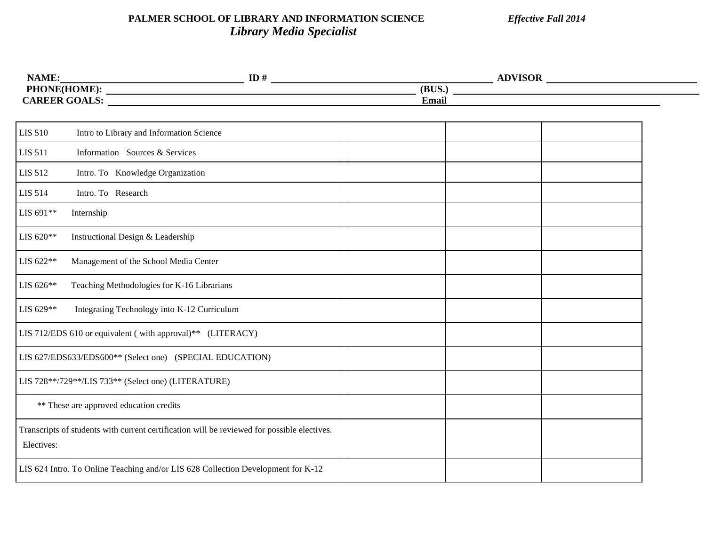## **PALMER SCHOOL OF LIBRARY AND INFORMATION SCIENCE** *Effective Fall 2014 Library Media Specialist*

| <b>ADVISOP</b> | $ID \nmid$ | NAME:                |
|----------------|------------|----------------------|
| (BUS.)         |            | <b>PHONE(HOME):</b>  |
| <b>Email</b>   |            | <b>CAREER GOALS:</b> |
|                |            |                      |

| <b>LIS 510</b> | Intro to Library and Information Science                                                    |  |  |
|----------------|---------------------------------------------------------------------------------------------|--|--|
| <b>LIS 511</b> | Information Sources & Services                                                              |  |  |
| <b>LIS 512</b> | Intro. To Knowledge Organization                                                            |  |  |
| <b>LIS 514</b> | Intro. To Research                                                                          |  |  |
| LIS 691**      | Internship                                                                                  |  |  |
| LIS 620**      | Instructional Design & Leadership                                                           |  |  |
| LIS 622**      | Management of the School Media Center                                                       |  |  |
| LIS 626**      | Teaching Methodologies for K-16 Librarians                                                  |  |  |
| LIS 629**      | Integrating Technology into K-12 Curriculum                                                 |  |  |
|                | LIS 712/EDS 610 or equivalent (with approval)** (LITERACY)                                  |  |  |
|                | LIS 627/EDS633/EDS600** (Select one) (SPECIAL EDUCATION)                                    |  |  |
|                | LIS 728**/729**/LIS 733** (Select one) (LITERATURE)                                         |  |  |
|                | ** These are approved education credits                                                     |  |  |
| Electives:     | Transcripts of students with current certification will be reviewed for possible electives. |  |  |
|                | LIS 624 Intro. To Online Teaching and/or LIS 628 Collection Development for K-12            |  |  |